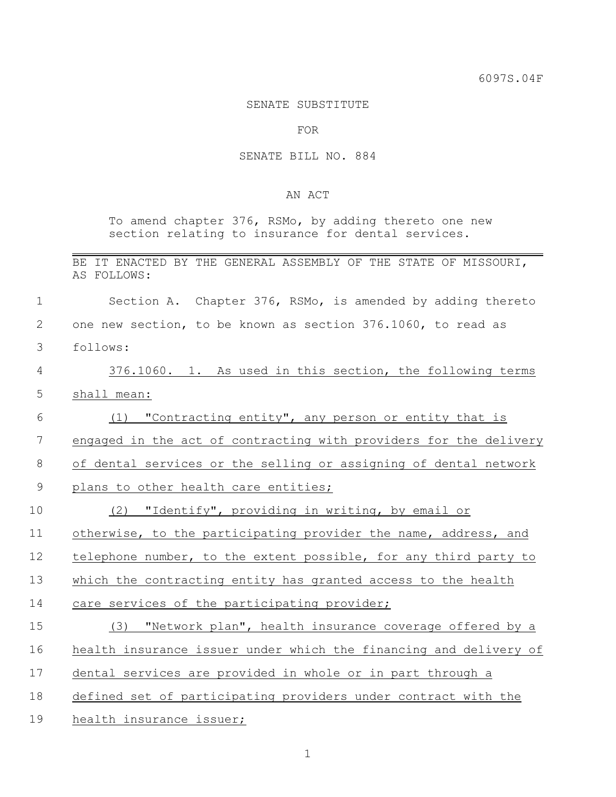## SENATE SUBSTITUTE

FOR

## SENATE BILL NO. 884

## AN ACT

To amend chapter 376, RSMo, by adding thereto one new section relating to insurance for dental services.

|  |             |  |  |  |  | BE IT ENACTED BY THE GENERAL ASSEMBLY OF THE STATE OF MISSOURI, |
|--|-------------|--|--|--|--|-----------------------------------------------------------------|
|  | AS FOLLOWS: |  |  |  |  |                                                                 |

 Section A. Chapter 376, RSMo, is amended by adding thereto one new section, to be known as section 376.1060, to read as

follows:

 376.1060. 1. As used in this section, the following terms shall mean:

 (1) "Contracting entity", any person or entity that is engaged in the act of contracting with providers for the delivery of dental services or the selling or assigning of dental network

9 plans to other health care entities;

|  | $\sim$<br>工し |  | "Identify", providing in writing, by email or |  |  |  |  |  |  |
|--|--------------|--|-----------------------------------------------|--|--|--|--|--|--|
|--|--------------|--|-----------------------------------------------|--|--|--|--|--|--|

otherwise, to the participating provider the name, address, and

12 telephone number, to the extent possible, for any third party to

which the contracting entity has granted access to the health

care services of the participating provider;

 (3) "Network plan", health insurance coverage offered by a health insurance issuer under which the financing and delivery of dental services are provided in whole or in part through a defined set of participating providers under contract with the

health insurance issuer;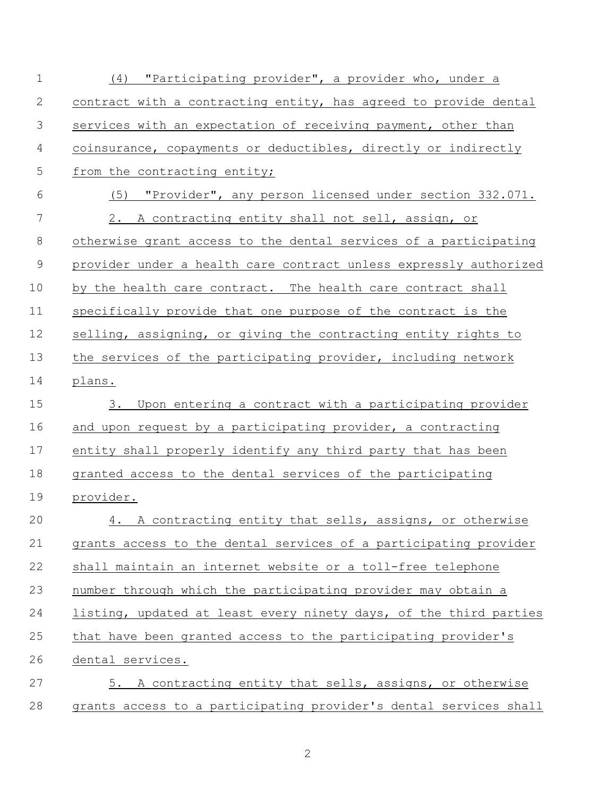(4) "Participating provider", a provider who, under a contract with a contracting entity, has agreed to provide dental services with an expectation of receiving payment, other than coinsurance, copayments or deductibles, directly or indirectly 5 from the contracting entity; (5) "Provider", any person licensed under section 332.071. 2. A contracting entity shall not sell, assign, or otherwise grant access to the dental services of a participating provider under a health care contract unless expressly authorized 10 by the health care contract. The health care contract shall specifically provide that one purpose of the contract is the selling, assigning, or giving the contracting entity rights to the services of the participating provider, including network plans. 3. Upon entering a contract with a participating provider and upon request by a participating provider, a contracting entity shall properly identify any third party that has been granted access to the dental services of the participating provider. 4. A contracting entity that sells, assigns, or otherwise grants access to the dental services of a participating provider shall maintain an internet website or a toll-free telephone number through which the participating provider may obtain a listing, updated at least every ninety days, of the third parties that have been granted access to the participating provider's dental services. 5. A contracting entity that sells, assigns, or otherwise grants access to a participating provider's dental services shall